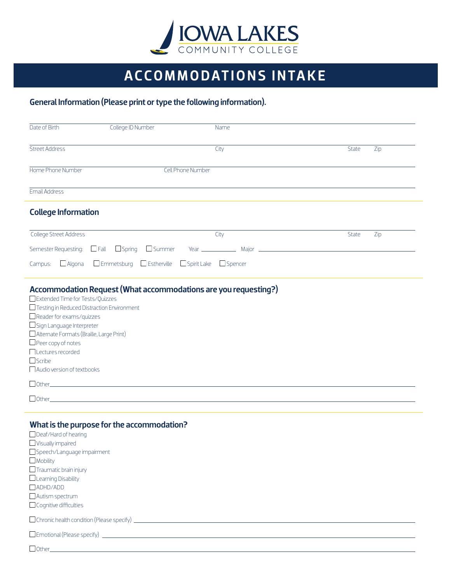

## ACCOMMODATIONS INTAKE

## General Information (Please print or type the following information).

| Date of Birth                                                                                                                                                                                                                                                                                                                                                                                               | College ID Number                                                      | Name |              |     |
|-------------------------------------------------------------------------------------------------------------------------------------------------------------------------------------------------------------------------------------------------------------------------------------------------------------------------------------------------------------------------------------------------------------|------------------------------------------------------------------------|------|--------------|-----|
| Street Address                                                                                                                                                                                                                                                                                                                                                                                              |                                                                        | City | State        | Zip |
|                                                                                                                                                                                                                                                                                                                                                                                                             |                                                                        |      |              |     |
| Home Phone Number                                                                                                                                                                                                                                                                                                                                                                                           | <b>Cell Phone Number</b>                                               |      |              |     |
| Email Address                                                                                                                                                                                                                                                                                                                                                                                               |                                                                        |      |              |     |
| <b>College Information</b>                                                                                                                                                                                                                                                                                                                                                                                  |                                                                        |      |              |     |
| College Street Address                                                                                                                                                                                                                                                                                                                                                                                      |                                                                        | City | <b>State</b> | Zip |
|                                                                                                                                                                                                                                                                                                                                                                                                             | Semester Requesting: $\Box$ Fall $\Box$ Spring $\Box$ Summer           |      |              |     |
| $\Box$ Algona<br>Campus:                                                                                                                                                                                                                                                                                                                                                                                    | $\Box$ Emmetsburg $\Box$ Estherville $\Box$ Spirit Lake $\Box$ Spencer |      |              |     |
| Extended Time for Tests/Quizzes<br>□ Testing in Reduced Distraction Environment<br>$\Box$ Reader for exams/quizzes<br>Sign Language Interpreter<br>Alternate Formats (Braille, Large Print)<br>$\Box$ Peer copy of notes<br>Lectures recorded<br>$\Box$ Scribe<br>$\Box$ Audio version of textbooks<br>$\begin{tabular}{ c c c } \hline \rule{.8cm}{.4cm} Other & \rule{.8cm}{.4cm} \\\hline \end{tabular}$ | Accommodation Request (What accommodations are you requesting?)        |      |              |     |
| $\Box$ Other_                                                                                                                                                                                                                                                                                                                                                                                               |                                                                        |      |              |     |
| Deaf/Hard of hearing<br>$\Box$ Visually impaired<br>Speech/Language impairment<br>$\Box$ Mobility<br>$\Box$ Traumatic brain injury<br>Learning Disability<br>ADHD/ADD<br>Autism spectrum<br>Cognitive difficulties                                                                                                                                                                                          | What is the purpose for the accommodation?                             |      |              |     |
|                                                                                                                                                                                                                                                                                                                                                                                                             |                                                                        |      |              |     |
| $\Box$ Other $\_\_\_\_\_\_\_\_\_\_\_\_\_$                                                                                                                                                                                                                                                                                                                                                                   |                                                                        |      |              |     |